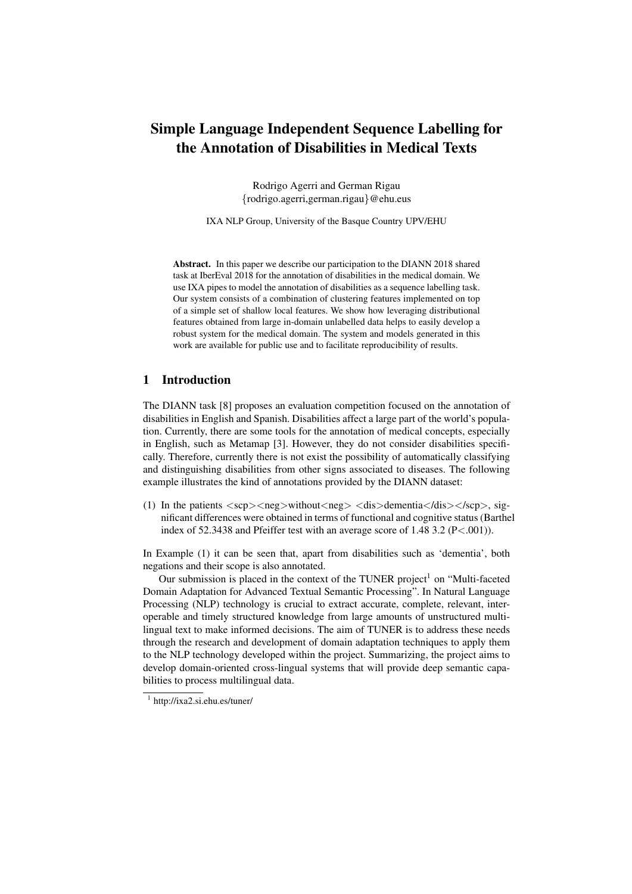# Simple Language Independent Sequence Labelling for the Annotation of Disabilities in Medical Texts

Rodrigo Agerri and German Rigau {rodrigo.agerri,german.rigau}@ehu.eus

IXA NLP Group, University of the Basque Country UPV/EHU

Abstract. In this paper we describe our participation to the DIANN 2018 shared task at IberEval 2018 for the annotation of disabilities in the medical domain. We use IXA pipes to model the annotation of disabilities as a sequence labelling task. Our system consists of a combination of clustering features implemented on top of a simple set of shallow local features. We show how leveraging distributional features obtained from large in-domain unlabelled data helps to easily develop a robust system for the medical domain. The system and models generated in this work are available for public use and to facilitate reproducibility of results.

### 1 Introduction

The DIANN task [8] proposes an evaluation competition focused on the annotation of disabilities in English and Spanish. Disabilities affect a large part of the world's population. Currently, there are some tools for the annotation of medical concepts, especially in English, such as Metamap [3]. However, they do not consider disabilities specifically. Therefore, currently there is not exist the possibility of automatically classifying and distinguishing disabilities from other signs associated to diseases. The following example illustrates the kind of annotations provided by the DIANN dataset:

(1) In the patients  $\langle$ scp $\rangle$  $\langle$ neg $\rangle$ without $\langle$ neg $\rangle$  $\langle$ dis $\rangle$ dementia $\langle$ dis $\rangle$  $\langle$ scp $\rangle$ , significant differences were obtained in terms of functional and cognitive status (Barthel index of 52.3438 and Pfeiffer test with an average score of 1.48 3.2 (P<.001)).

In Example (1) it can be seen that, apart from disabilities such as 'dementia', both negations and their scope is also annotated.

Our submission is placed in the context of the TUNER project<sup>1</sup> on "Multi-faceted Domain Adaptation for Advanced Textual Semantic Processing". In Natural Language Processing (NLP) technology is crucial to extract accurate, complete, relevant, interoperable and timely structured knowledge from large amounts of unstructured multilingual text to make informed decisions. The aim of TUNER is to address these needs through the research and development of domain adaptation techniques to apply them to the NLP technology developed within the project. Summarizing, the project aims to develop domain-oriented cross-lingual systems that will provide deep semantic capabilities to process multilingual data.

<sup>1</sup> http://ixa2.si.ehu.es/tuner/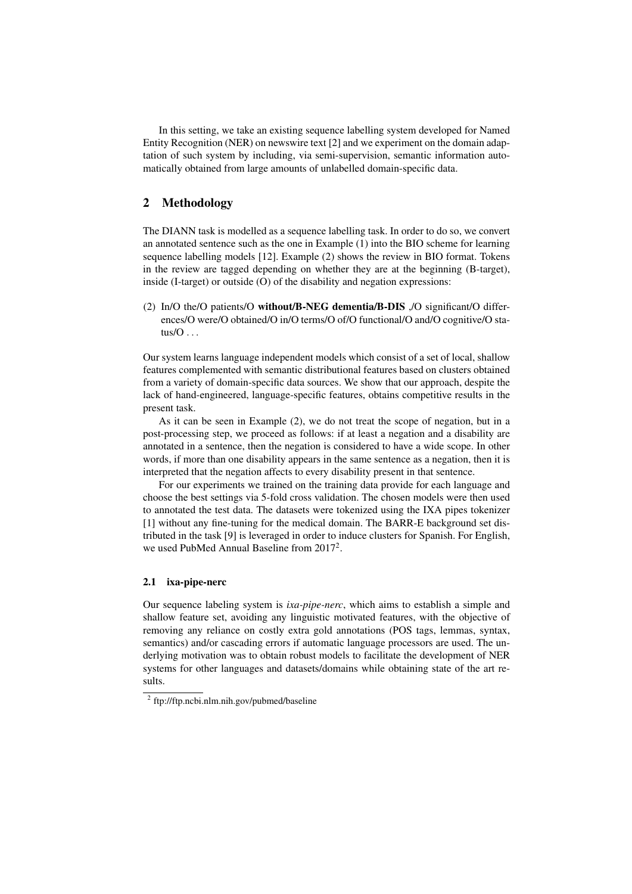In this setting, we take an existing sequence labelling system developed for Named Entity Recognition (NER) on newswire text [2] and we experiment on the domain adaptation of such system by including, via semi-supervision, semantic information automatically obtained from large amounts of unlabelled domain-specific data.

## 2 Methodology

The DIANN task is modelled as a sequence labelling task. In order to do so, we convert an annotated sentence such as the one in Example (1) into the BIO scheme for learning sequence labelling models [12]. Example (2) shows the review in BIO format. Tokens in the review are tagged depending on whether they are at the beginning (B-target), inside (I-target) or outside (O) of the disability and negation expressions:

(2) In/O the/O patients/O without/B-NEG dementia/B-DIS ,/O significant/O differences/O were/O obtained/O in/O terms/O of/O functional/O and/O cognitive/O status/ $O \ldots$ 

Our system learns language independent models which consist of a set of local, shallow features complemented with semantic distributional features based on clusters obtained from a variety of domain-specific data sources. We show that our approach, despite the lack of hand-engineered, language-specific features, obtains competitive results in the present task.

As it can be seen in Example (2), we do not treat the scope of negation, but in a post-processing step, we proceed as follows: if at least a negation and a disability are annotated in a sentence, then the negation is considered to have a wide scope. In other words, if more than one disability appears in the same sentence as a negation, then it is interpreted that the negation affects to every disability present in that sentence.

For our experiments we trained on the training data provide for each language and choose the best settings via 5-fold cross validation. The chosen models were then used to annotated the test data. The datasets were tokenized using the IXA pipes tokenizer [1] without any fine-tuning for the medical domain. The BARR-E background set distributed in the task [9] is leveraged in order to induce clusters for Spanish. For English, we used PubMed Annual Baseline from 2017<sup>2</sup>.

#### 2.1 ixa-pipe-nerc

Our sequence labeling system is *ixa-pipe-nerc*, which aims to establish a simple and shallow feature set, avoiding any linguistic motivated features, with the objective of removing any reliance on costly extra gold annotations (POS tags, lemmas, syntax, semantics) and/or cascading errors if automatic language processors are used. The underlying motivation was to obtain robust models to facilitate the development of NER systems for other languages and datasets/domains while obtaining state of the art results.

<sup>&</sup>lt;sup>2</sup> ftp://ftp.ncbi.nlm.nih.gov/pubmed/baseline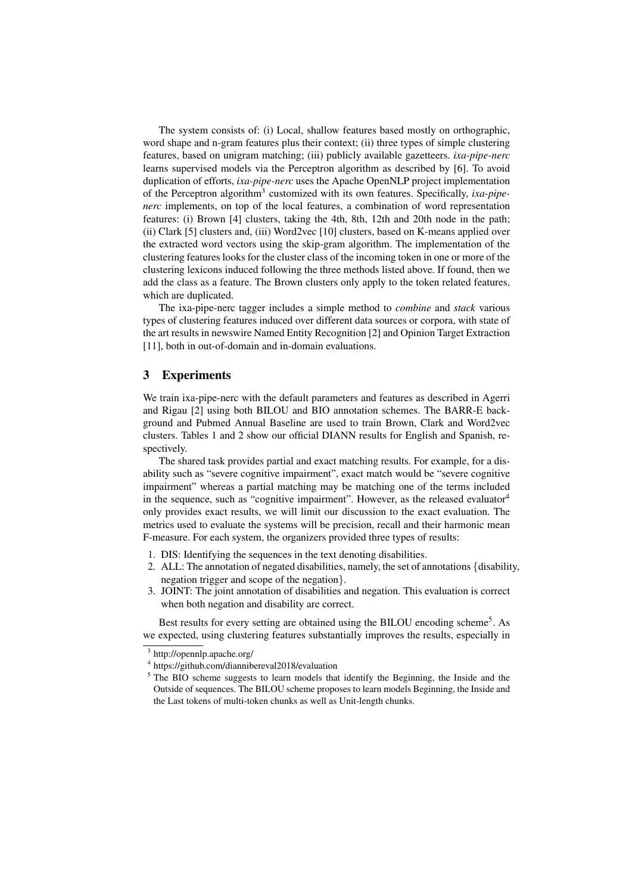The system consists of: (i) Local, shallow features based mostly on orthographic, word shape and n-gram features plus their context; (ii) three types of simple clustering features, based on unigram matching; (iii) publicly available gazetteers. *ixa-pipe-nerc* learns supervised models via the Perceptron algorithm as described by [6]. To avoid duplication of efforts, *ixa-pipe-nerc* uses the Apache OpenNLP project implementation of the Perceptron algorithm<sup>3</sup> customized with its own features. Specifically, *ixa-pipenerc* implements, on top of the local features, a combination of word representation features: (i) Brown [4] clusters, taking the 4th, 8th, 12th and 20th node in the path; (ii) Clark [5] clusters and, (iii) Word2vec [10] clusters, based on K-means applied over the extracted word vectors using the skip-gram algorithm. The implementation of the clustering features looks for the cluster class of the incoming token in one or more of the clustering lexicons induced following the three methods listed above. If found, then we add the class as a feature. The Brown clusters only apply to the token related features, which are duplicated.

The ixa-pipe-nerc tagger includes a simple method to *combine* and *stack* various types of clustering features induced over different data sources or corpora, with state of the art results in newswire Named Entity Recognition [2] and Opinion Target Extraction [11], both in out-of-domain and in-domain evaluations.

#### 3 Experiments

We train ixa-pipe-nerc with the default parameters and features as described in Agerri and Rigau [2] using both BILOU and BIO annotation schemes. The BARR-E background and Pubmed Annual Baseline are used to train Brown, Clark and Word2vec clusters. Tables 1 and 2 show our official DIANN results for English and Spanish, respectively.

The shared task provides partial and exact matching results. For example, for a disability such as "severe cognitive impairment", exact match would be "severe cognitive impairment" whereas a partial matching may be matching one of the terms included in the sequence, such as "cognitive impairment". However, as the released evaluator $4$ only provides exact results, we will limit our discussion to the exact evaluation. The metrics used to evaluate the systems will be precision, recall and their harmonic mean F-measure. For each system, the organizers provided three types of results:

- 1. DIS: Identifying the sequences in the text denoting disabilities.
- 2. ALL: The annotation of negated disabilities, namely, the set of annotations {disability, negation trigger and scope of the negation}.
- 3. JOINT: The joint annotation of disabilities and negation. This evaluation is correct when both negation and disability are correct.

Best results for every setting are obtained using the BILOU encoding scheme<sup>5</sup>. As we expected, using clustering features substantially improves the results, especially in

<sup>3</sup> http://opennlp.apache.org/

<sup>4</sup> https://github.com/diannibereval2018/evaluation

<sup>&</sup>lt;sup>5</sup> The BIO scheme suggests to learn models that identify the Beginning, the Inside and the Outside of sequences. The BILOU scheme proposes to learn models Beginning, the Inside and the Last tokens of multi-token chunks as well as Unit-length chunks.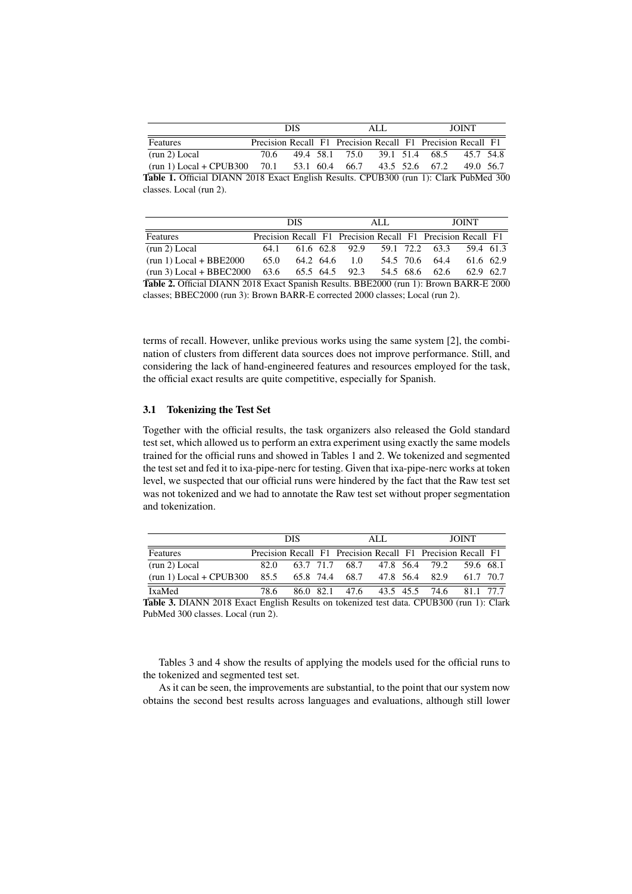|                                                                                       | <b>DIS</b> |  |  |                                                             | ALL. | <b>JOINT</b> |           |  |
|---------------------------------------------------------------------------------------|------------|--|--|-------------------------------------------------------------|------|--------------|-----------|--|
| Features                                                                              |            |  |  | Precision Recall F1 Precision Recall F1 Precision Recall F1 |      |              |           |  |
| (run 2) Local                                                                         | 70.6       |  |  | 49.4 58.1 75.0 39.1 51.4 68.5                               |      |              | 45.7 54.8 |  |
| $(run 1) Local + CPUB300$ 70.1 53.1 60.4 66.7 43.5 52.6 67.2                          |            |  |  |                                                             |      |              | 49.0 56.7 |  |
| Table 1. Official DIANN 2018 Exact English Results. CPUB300 (run 1): Clark PubMed 300 |            |  |  |                                                             |      |              |           |  |

|                                         | DIS  |           |  | ALL.           |  |  | <b>JOINT</b>                                                              |           |  |
|-----------------------------------------|------|-----------|--|----------------|--|--|---------------------------------------------------------------------------|-----------|--|
| Features                                |      |           |  |                |  |  | Precision Recall F1 Precision Recall F1 Precision Recall F1               |           |  |
| (run 2) Local                           | 64.1 |           |  | 61.6 62.8 92.9 |  |  | 59.1 72.2 63.3 59.4 61.3                                                  |           |  |
| $(run 1) Local + BBE2000$               | 65.0 | 64.2 64.6 |  | 1.0            |  |  | 54.5 70.6 64.4                                                            | 61.6 62.9 |  |
| $(m_2, 2)$ $I = -1$ $R_{D}$ $R_{C2000}$ |      |           |  |                |  |  | $\epsilon$ A $\epsilon$ (0 $\epsilon$ (0 $\epsilon$ (0 $\epsilon$ 0 $\pi$ |           |  |

(run 3) Local + BBEC2000 63.6 65.5 64.5 92.3 54.5 68.6 62.6 62.9 62.7 Table 2. Official DIANN 2018 Exact Spanish Results. BBE2000 (run 1): Brown BARR-E 2000 classes; BBEC2000 (run 3): Brown BARR-E corrected 2000 classes; Local (run 2).

terms of recall. However, unlike previous works using the same system [2], the combination of clusters from different data sources does not improve performance. Still, and considering the lack of hand-engineered features and resources employed for the task, the official exact results are quite competitive, especially for Spanish.

#### 3.1 Tokenizing the Test Set

classes. Local (run 2).

Together with the official results, the task organizers also released the Gold standard test set, which allowed us to perform an extra experiment using exactly the same models trained for the official runs and showed in Tables 1 and 2. We tokenized and segmented the test set and fed it to ixa-pipe-nerc for testing. Given that ixa-pipe-nerc works at token level, we suspected that our official runs were hindered by the fact that the Raw test set was not tokenized and we had to annotate the Raw test set without proper segmentation and tokenization.

|                                               | <b>DIS</b> |  |  |                               | ALL.      | <b>JOINT</b>                                                |           |  |
|-----------------------------------------------|------------|--|--|-------------------------------|-----------|-------------------------------------------------------------|-----------|--|
| Features                                      |            |  |  |                               |           | Precision Recall F1 Precision Recall F1 Precision Recall F1 |           |  |
| (run 2) Local                                 | 82 O       |  |  | 63.7 71.7 68.7 47.8 56.4 79.2 |           |                                                             | 59.6 68.1 |  |
| $(run 1) Local + CPUB300$ 85.5 65.8 74.4 68.7 |            |  |  |                               | 47.8 56.4 | 82.9                                                        | 61.7 70.7 |  |
| <b>IxaMed</b>                                 | 78.6       |  |  | 86.0 82.1 47.6 43.5 45.5 74.6 |           |                                                             | 81.1 77.7 |  |

Table 3. DIANN 2018 Exact English Results on tokenized test data. CPUB300 (run 1): Clark PubMed 300 classes. Local (run 2).

Tables 3 and 4 show the results of applying the models used for the official runs to the tokenized and segmented test set.

As it can be seen, the improvements are substantial, to the point that our system now obtains the second best results across languages and evaluations, although still lower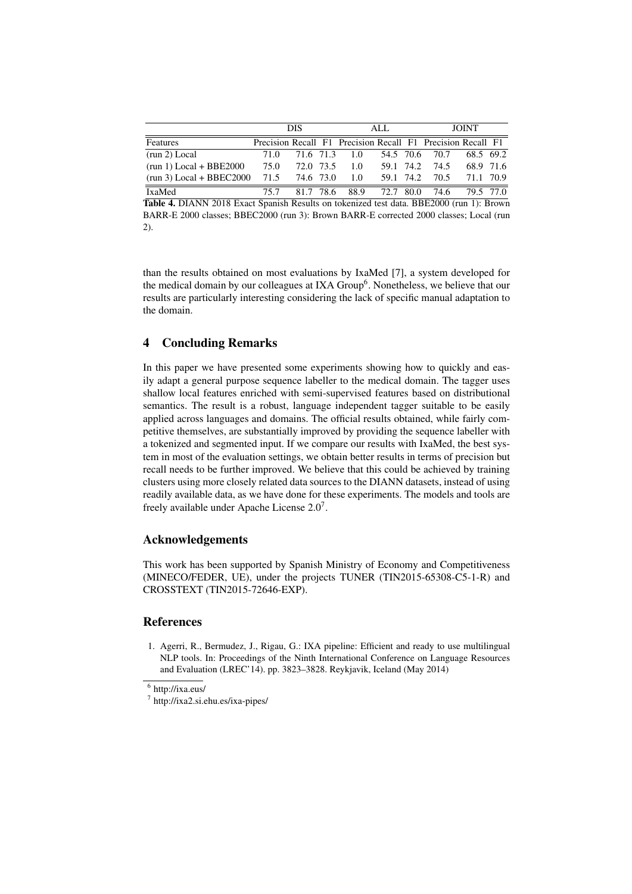|                            | <b>DIS</b> |           |  |                                                             | ALL.      |      | <b>JOINT</b>   |           |  |
|----------------------------|------------|-----------|--|-------------------------------------------------------------|-----------|------|----------------|-----------|--|
| Features                   |            |           |  | Precision Recall F1 Precision Recall F1 Precision Recall F1 |           |      |                |           |  |
| (run 2) Local              | 71.0       |           |  | 71.6 71.3 1.0                                               |           |      | 54.5 70.6 70.7 | 68.5 69.2 |  |
| $(run 1) Local + BBE2000$  | 75.0       | 72.0 73.5 |  | 1.0                                                         | 59.1 74.2 |      | 74.5           | 68.9 71.6 |  |
| $(run 3) Local + BBEC2000$ | 71.5       | 74.6 73.0 |  | 1.0                                                         | 59.1 74.2 |      | 70.5           | 71.1 70.9 |  |
| IxaMed                     | 75.7       | 817 786   |  | 88.9                                                        | 72.7      | 80.0 | 74.6           | 79.5 77.0 |  |

Table 4. DIANN 2018 Exact Spanish Results on tokenized test data. BBE2000 (run 1): Brown BARR-E 2000 classes; BBEC2000 (run 3): Brown BARR-E corrected 2000 classes; Local (run 2).

than the results obtained on most evaluations by IxaMed [7], a system developed for the medical domain by our colleagues at IXA Group<sup>6</sup>. Nonetheless, we believe that our results are particularly interesting considering the lack of specific manual adaptation to the domain.

## 4 Concluding Remarks

In this paper we have presented some experiments showing how to quickly and easily adapt a general purpose sequence labeller to the medical domain. The tagger uses shallow local features enriched with semi-supervised features based on distributional semantics. The result is a robust, language independent tagger suitable to be easily applied across languages and domains. The official results obtained, while fairly competitive themselves, are substantially improved by providing the sequence labeller with a tokenized and segmented input. If we compare our results with IxaMed, the best system in most of the evaluation settings, we obtain better results in terms of precision but recall needs to be further improved. We believe that this could be achieved by training clusters using more closely related data sources to the DIANN datasets, instead of using readily available data, as we have done for these experiments. The models and tools are freely available under Apache License  $2.0<sup>7</sup>$ .

## Acknowledgements

This work has been supported by Spanish Ministry of Economy and Competitiveness (MINECO/FEDER, UE), under the projects TUNER (TIN2015-65308-C5-1-R) and CROSSTEXT (TIN2015-72646-EXP).

## References

1. Agerri, R., Bermudez, J., Rigau, G.: IXA pipeline: Efficient and ready to use multilingual NLP tools. In: Proceedings of the Ninth International Conference on Language Resources and Evaluation (LREC'14). pp. 3823–3828. Reykjavik, Iceland (May 2014)

<sup>6</sup> http://ixa.eus/

<sup>7</sup> http://ixa2.si.ehu.es/ixa-pipes/